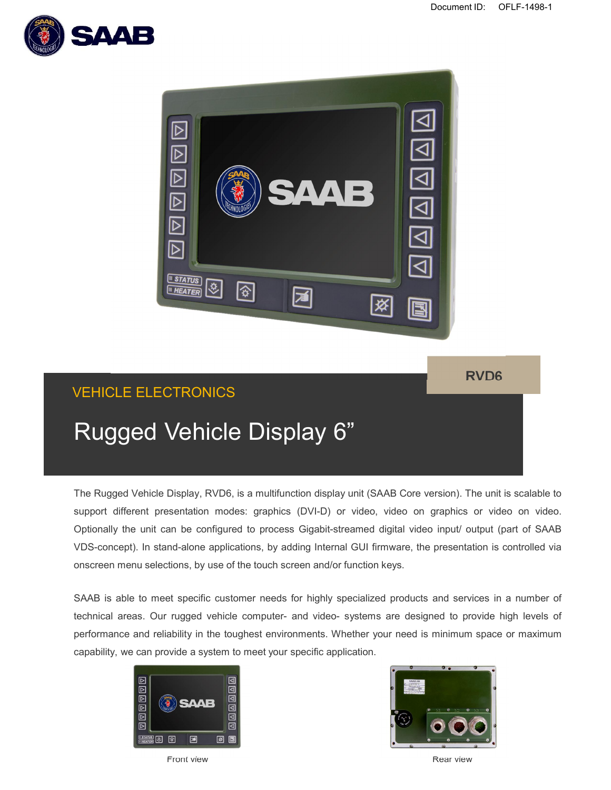



### **RVD6**

## VEHICLE ELECTRONICS

# Rugged Vehicle Display 6"

The Rugged Vehicle Display, RVD6, is a multifunction display unit (SAAB Core version). The unit is scalable to support different presentation modes: graphics (DVI-D) or video, video on graphics or video on video. Optionally the unit can be configured to process Gigabit-streamed digital video input/ output (part of SAAB VDS-concept). In stand-alone applications, by adding Internal GUI firmware, the presentation is controlled via onscreen menu selections, by use of the touch screen and/or function keys.

SAAB is able to meet specific customer needs for highly specialized products and services in a number of technical areas. Our rugged vehicle computer- and video- systems are designed to provide high levels of performance and reliability in the toughest environments. Whether your need is minimum space or maximum capability, we can provide a system to meet your specific application.





**Front view Rear view Rear view Rear view Rear view Rear view Rear view Rear view**